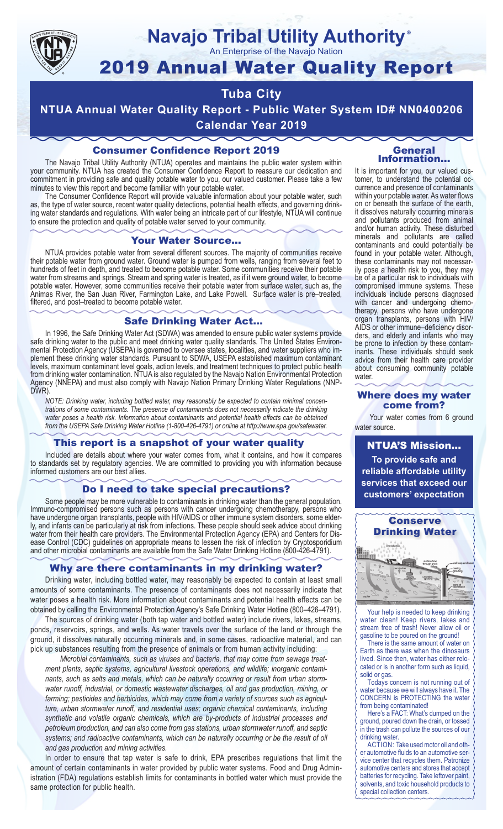

### **Navajo Tribal Utility Authority** ®

An Enterprise of the Navajo Nation

# 2019 Annual Water Quality Report

# **Tuba City**

**NTUA Annual Water Quality Report - Public Water System ID# NN0400206 Calendar Year 2019**

## Consumer Confidence Report 2019

The Navajo Tribal Utility Authority (NTUA) operates and maintains the public water system within your community. NTUA has created the Consumer Confidence Report to reassure our dedication and commitment in providing safe and quality potable water to you, our valued customer. Please take a few minutes to view this report and become familiar with your potable water.

The Consumer Confidence Report will provide valuable information about your potable water, such as, the type of water source, recent water quality detections, potential health effects, and governing drinking water standards and regulations. With water being an intricate part of our lifestyle, NTUA will continue to ensure the protection and quality of potable water served to your community.

#### Your Water Source…

NTUA provides potable water from several different sources. The majority of communities receive their potable water from ground water. Ground water is pumped from wells, ranging from several feet to hundreds of feet in depth, and treated to become potable water. Some communities receive their potable water from streams and springs. Stream and spring water is treated, as if it were ground water, to become potable water. However, some communities receive their potable water from surface water, such as, the Animas River, the San Juan River, Farmington Lake, and Lake Powell. Surface water is pre–treated, filtered, and post–treated to become potable water.

#### Safe Drinking Water Act…

In 1996, the Safe Drinking Water Act (SDWA) was amended to ensure public water systems provide safe drinking water to the public and meet drinking water quality standards. The United States Environmental Protection Agency (USEPA) is governed to oversee states, localities, and water suppliers who implement these drinking water standards. Pursuant to SDWA, USEPA established maximum contaminant levels, maximum contaminant level goals, action levels, and treatment techniques to protect public health from drinking water contamination. NTUA is also regulated by the Navajo Nation Environmental Protection Agency (NNEPA) and must also comply with Navajo Nation Primary Drinking Water Regulations (NNP-DWR)

*NOTE: Drinking water, including bottled water, may reasonably be expected to contain minimal concentrations of some contaminants. The presence of contaminants does not necessarily indicate the drinking water poses a health risk. Information about contaminants and potential health effects can be obtained from the USEPA Safe Drinking Water Hotline (1-800-426-4791) or online at http://www.epa.gov/safewater.*

#### This report is a snapshot of your water quality

Included are details about where your water comes from, what it contains, and how it compares to standards set by regulatory agencies. We are committed to providing you with information because informed customers are our best allies.

#### Do I need to take special precautions?

Some people may be more vulnerable to contaminants in drinking water than the general population. Immuno-compromised persons such as persons with cancer undergoing chemotherapy, persons who have undergone organ transplants, people with HIV/AIDS or other immune system disorders, some elderly, and infants can be particularly at risk from infections. These people should seek advice about drinking water from their health care providers. The Environmental Protection Agency (EPA) and Centers for Disease Control (CDC) guidelines on appropriate means to lessen the risk of infection by Cryptosporidium and other microbial contaminants are available from the Safe Water Drinking Hotline (800-426-4791).

#### Why are there contaminants in my drinking water?

Drinking water, including bottled water, may reasonably be expected to contain at least small amounts of some contaminants. The presence of contaminants does not necessarily indicate that water poses a health risk. More information about contaminants and potential health effects can be obtained by calling the Environmental Protection Agency's Safe Drinking Water Hotline (800–426–4791).

The sources of drinking water (both tap water and bottled water) include rivers, lakes, streams, ponds, reservoirs, springs, and wells. As water travels over the surface of the land or through the ground, it dissolves naturally occurring minerals and, in some cases, radioactive material, and can pick up substances resulting from the presence of animals or from human activity including:

*Microbial contaminants, such as viruses and bacteria, that may come from sewage treatment plants, septic systems, agricultural livestock operations, and wildlife; inorganic contaminants, such as salts and metals, which can be naturally occurring or result from urban stormwater runoff, industrial, or domestic wastewater discharges, oil and gas production, mining, or farming; pesticides and herbicides, which may come from a variety of sources such as agriculture, urban stormwater runoff, and residential uses; organic chemical contaminants, including synthetic and volatile organic chemicals, which are by-products of industrial processes and petroleum production, and can also come from gas stations, urban stormwater runoff, and septic systems; and radioactive contaminants, which can be naturally occurring or be the result of oil and gas production and mining activities.*

In order to ensure that tap water is safe to drink, EPA prescribes regulations that limit the amount of certain contaminants in water provided by public water systems. Food and Drug Administration (FDA) regulations establish limits for contaminants in bottled water which must provide the same protection for public health.

#### General Information…

It is important for you, our valued customer, to understand the potential occurrence and presence of contaminants within your potable water. As water flows on or beneath the surface of the earth, it dissolves naturally occurring minerals and pollutants produced from animal and/or human activity. These disturbed minerals and pollutants are called contaminants and could potentially be found in your potable water. Although, these contaminants may not necessarily pose a health risk to you, they may be of a particular risk to individuals with compromised immune systems. These individuals include persons diagnosed with cancer and undergoing chemo-<br>therapy, persons who have undergone organ transplants, persons with HIV/ AIDS or other immune–deficiency disor- ders, and elderly and infants who may be prone to infection by these contam- inants. These individuals should seek advice from their health care provider about consuming community potable water.

#### Where does my water come from?

Your water comes from 6 ground water source.

NTUA'S Mission... **To provide safe and reliable affordable utility services that exceed our customers' expectation**



Your help is needed to keep drinking water clean! Keep rivers, lakes and stream free of trash! Never allow oil or gasoline to be poured on the ground!

There is the same amount of water on Earth as there was when the dinosaurs lived. Since then, water has either relocated or is in another form such as liquid, solid or gas.

Todays concern is not running out of water because we will always have it. The CONCERN is PROTECTING the water from being contaminated!

Here's a FACT: What's dumped on the ground, poured down the drain, or tossed in the trash can pollute the sources of our drinking water.

ACTION: Take used motor oil and other automotive fluids to an automotive service center that recycles them. Patronize automotive centers and stores that accept batteries for recycling. Take leftover paint, solvents, and toxic household products to special collection centers.